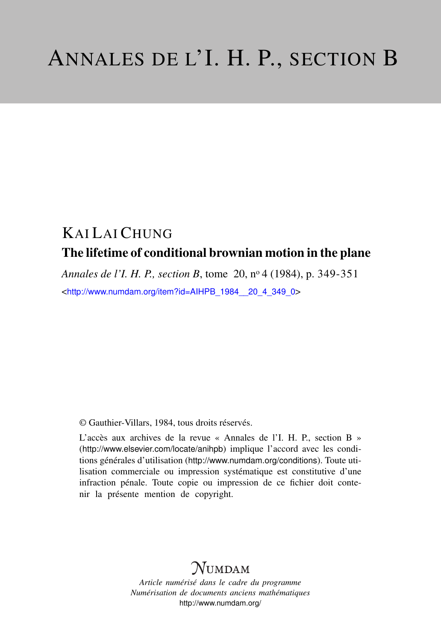## KAI LAI CHUNG The lifetime of conditional brownian motion in the plane

*Annales de l'I. H. P., section B*, tome 20, n<sup>o</sup> 4 (1984), p. 349-351 <[http://www.numdam.org/item?id=AIHPB\\_1984\\_\\_20\\_4\\_349\\_0](http://www.numdam.org/item?id=AIHPB_1984__20_4_349_0)>

© Gauthier-Villars, 1984, tous droits réservés.

L'accès aux archives de la revue « Annales de l'I. H. P., section B » (<http://www.elsevier.com/locate/anihpb>) implique l'accord avec les conditions générales d'utilisation (<http://www.numdam.org/conditions>). Toute utilisation commerciale ou impression systématique est constitutive d'une infraction pénale. Toute copie ou impression de ce fichier doit contenir la présente mention de copyright.

## **NUMDAM**

*Article numérisé dans le cadre du programme Numérisation de documents anciens mathématiques* <http://www.numdam.org/>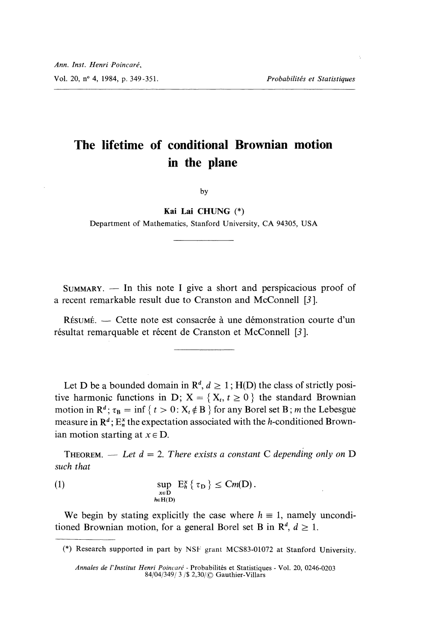## The lifetime of conditional Brownian motion in the plane

by

Kai Lai CHUNG (\*)

Department of Mathematics, Stanford University, CA 94305, USA

 $SUMMARY.$  - In this note I give a short and perspicacious proof of a recent remarkable result due to Cranston and McConnell [3 ].

RÉSUMÉ. — Cette note est consacrée à une démonstration courte d'un résultat remarquable et récent de Cranston et McConnell [3].

Let D be a bounded domain in  $\mathbb{R}^d$ ,  $d \geq 1$ ; H(D) the class of strictly positive harmonic functions in D;  $X = \{X_t, t \geq 0\}$  the standard Brownian motion in  $\mathbb{R}^d$ ;  $\tau_B = \inf \{ t > 0 : X_t \notin \mathbb{B} \}$  for any Borel set B; *m* the Lebesgue measure in  $\mathbb{R}^d$ ;  $E_n^x$  the expectation associated with the h-conditioned Brownian motion starting at  $x \in D$ .

THEOREM. - Let  $d = 2$ . There exists a constant C depending only on D such that

(1) 
$$
\sup_{\substack{x \in D \\ h \in H(D)}} E_h^x \{ \tau_D \} \leq Cm(D).
$$

We begin by stating explicitly the case where  $h \equiv 1$ , namely unconditioned Brownian motion, for a general Borel set B in  $\mathbb{R}^d$ ,  $d \geq 1$ .

(\*) Research supported in part by NSF grant MCS83-01072 at Stanford University.

Annales de l'Institut Henri Poincaré - Probabilités et Statistiques - Vol. 20, 0246-0203 84/04/349/ 3 / \$ 2,30/  $\circ$  Gauthier-Villars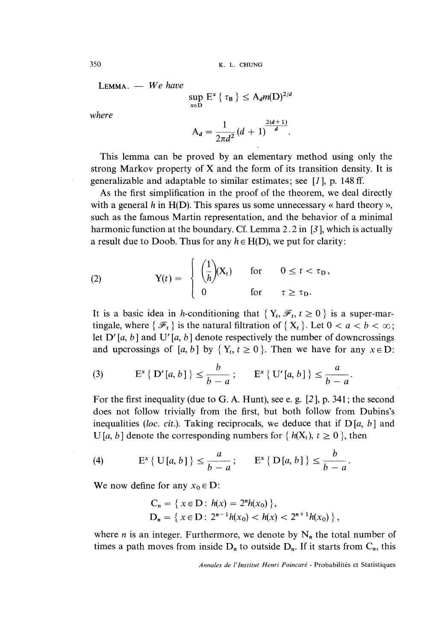350 K. L. CHUNG

 $LEMMA. - We have$ 

$$
\sup_{x \in D} E^x \{ \tau_B \} \le A_d m(D)^{2/d}
$$

$$
A_d = \frac{1}{2\pi d^2} (d+1)^{\frac{2(d+1)}{d}}.
$$

where

This lemma can be proved by an elementary method using only the strong Markov property of X and the form of its transition density. It is generalizable and adaptable to similar estimates; see 
$$
[1]
$$
, p. 148 ff.

As the first simplification in the proof of the theorem, we deal directly with a general h in  $H(D)$ . This spares us some unnecessary « hard theory », such as the famous Martin representation, and the behavior of a minimal harmonic function at the boundary. Cf. Lemma 2.2 in [3], which is actually a result due to Doob. Thus for any  $h \in H(D)$ , we put for clarity:

(2) 
$$
Y(t) = \begin{cases} \left(\frac{1}{h}\right)(X_t) & \text{for } 0 \leq t < \tau_D, \\ 0 & \text{for } \tau \geq \tau_D. \end{cases}
$$

It is a basic idea in h-conditioning that  $\{Y_t, \mathcal{F}_t, t \geq 0\}$  is a super-martingale, where  $\{\mathcal{F}_t\}$  is the natural filtration of  $\{X_t\}$ . Let  $0 < a < b < \infty$ ; let D' [a, b] and U' [a, b] denote respectively the number of downcrossings and upcrossings of [a, b] by  $\{Y_t, t \ge 0\}$ . Then we have for any  $x \in D$ :

(3) 
$$
E^x \{ D'[a, b] \} \le \frac{b}{b-a}; \qquad E^x \{ U'[a, b] \} \le \frac{a}{b-a}
$$

For the first inequality (due to G. A. Hunt), see e. g. [2 ], p. 341; the second does not follow trivially from the first, but both follow from Dubins's inequalities (loc. cit.). Taking reciprocals, we deduce that if  $D[a, b]$  and U [a, b] denote the corresponding numbers for { $h(X_t)$ ,  $t \ge 0$  }, then

(4) 
$$
E^x \{ U[a, b] \} \le \frac{a}{b-a}; \qquad E^x \{ D[a, b] \} \le \frac{b}{b-a}.
$$

We now define for any  $x_0 \in D$ :

$$
C_n = \{ x \in D : h(x) = 2^n h(x_0) \},
$$
  
\n
$$
D_n = \{ x \in D : 2^{n-1} h(x_0) < h(x) < 2^{n+1} h(x_0) \},
$$

where *n* is an integer. Furthermore, we denote by  $N_n$  the total number of times a path moves from inside  $D_n$  to outside  $D_n$ . If it starts from  $C_n$ , this

Annales de l'Institut Henri Poincaré - Probabilités et Statistiques